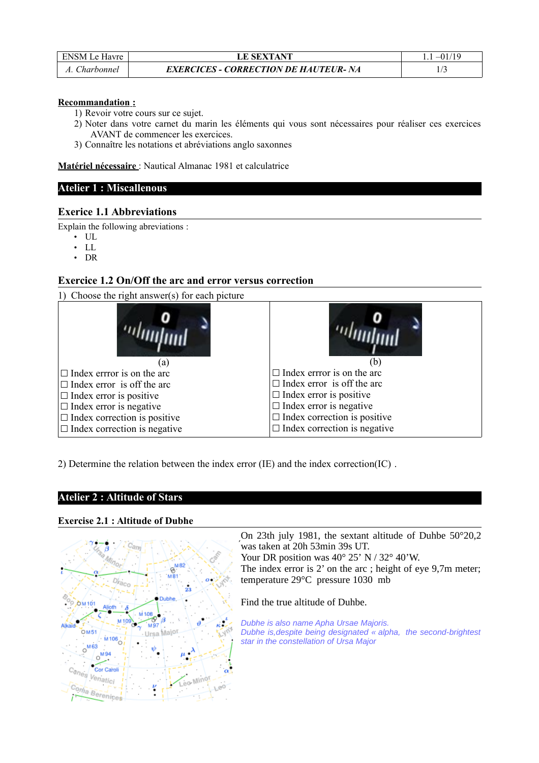| ENSM Le Havre | <b>LE SEXTANT</b>                            |  |
|---------------|----------------------------------------------|--|
| Charbonnel    | <b>EXERCICES - CORRECTION DE HAUTEUR- NA</b> |  |

#### **Recommandation :**

1) Revoir votre cours sur ce sujet.

- 2) Noter dans votre carnet du marin les éléments qui vous sont nécessaires pour réaliser ces exercices AVANT de commencer les exercices.
- 3) Connaître les notations et abréviations anglo saxonnes

 **Matériel nécessaire** : Nautical Almanac 1981 et calculatrice

### **Atelier 1 : Miscallenous**

### **Exerice 1.1 Abbreviations**

Explain the following abreviations :

- $\cdot$  UL
- $\cdot$  LL
- DR

## **Exercice 1.2 On/Off the arc and error versus correction**

1) Choose the right answer(s) for each picture



2) Determine the relation between the index error (IE) and the index correction(IC) .

## **Atelier 2 : Altitude of Stars**

#### **Exercise 2.1 : Altitude of Dubhe**



On 23th july 1981, the sextant altitude of Duhbe 50°20,2 was taken at 20h 53min 39s UT. ́ Your DR position was 40° 25' N / 32° 40'W.

The index error is 2' on the arc ; height of eye 9,7m meter; temperature 29°C pressure 1030 mb

Find the true altitude of Duhbe.

*Dubhe is also name Apha Ursae Majoris. Dubhe is,despite being designated « alpha, the second-brightest star in the constellation of Ursa Major*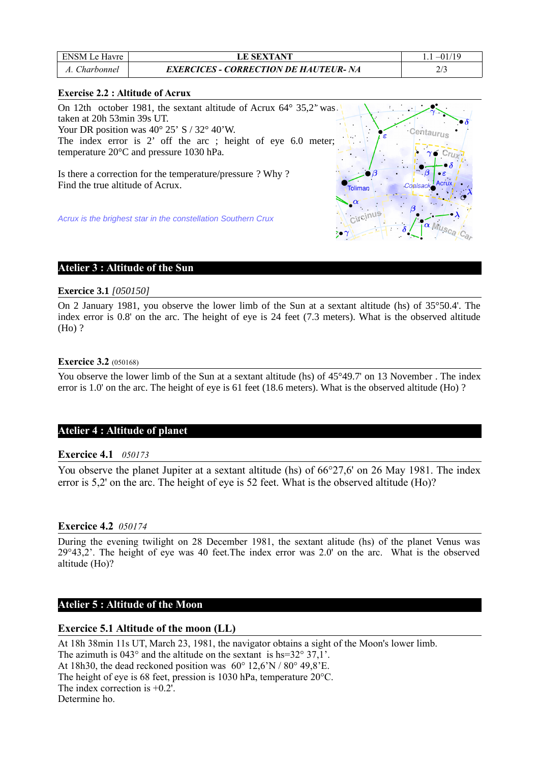| <b>ENSM</b> Le Havre | <b>LE SEXTANT</b>                            |  |
|----------------------|----------------------------------------------|--|
| Charbonnel           | <b>EXERCICES - CORRECTION DE HAUTEUR- NA</b> |  |

### **Exercise 2.2 : Altitude of Acrux**

| On 12th october 1981, the sextant altitude of Acrux 64° 35,2" was.                             |         |
|------------------------------------------------------------------------------------------------|---------|
| taken at 20h 53min 39s UT.                                                                     |         |
| Your DR position was $40^{\circ}$ 25' S / 32° 40'W.                                            |         |
| The index error is 2' off the arc ; height of eye 6.0 meter;                                   |         |
| temperature 20°C and pressure 1030 hPa.                                                        |         |
| Is there a correction for the temperature/pressure ? Why ?<br>Find the true altitude of Acrux. | Toliman |
| Acrux is the brighest star in the constellation Southern Crux                                  |         |

## **Atelier 3 : Altitude of the Sun**

### **Exercice 3.1** *[050150]*

On 2 January 1981, you observe the lower limb of the Sun at a sextant altitude (hs) of 35°50.4'. The index error is 0.8' on the arc. The height of eye is 24 feet (7.3 meters). What is the observed altitude (Ho) ?

### **Exercice 3.2** (050168)

You observe the lower limb of the Sun at a sextant altitude (hs) of  $45^{\circ}49.7'$  on 13 November . The index error is 1.0' on the arc. The height of eye is 61 feet (18.6 meters). What is the observed altitude (Ho) ?

## **Atelier 4 : Altitude of planet**

## **Exercice 4.1** *050173*

You observe the planet Jupiter at a sextant altitude (hs) of  $66^{\circ}27.6'$  on 26 May 1981. The index error is 5,2' on the arc. The height of eye is 52 feet. What is the observed altitude (Ho)?

#### **Exercice 4.2** *050174*

During the evening twilight on 28 December 1981, the sextant alitude (hs) of the planet Venus was 29°43,2'. The height of eye was 40 feet.The index error was 2.0' on the arc. What is the observed altitude (Ho)?

### **Atelier 5 : Altitude of the Moon**

## **Exercice 5.1 Altitude of the moon (LL)**

At 18h 38min 11s UT, March 23, 1981, the navigator obtains a sight of the Moon's lower limb. The azimuth is 043° and the altitude on the sextant is hs=32° 37,1'. At 18h30, the dead reckoned position was 60° 12,6'N / 80° 49,8'E. The height of eye is 68 feet, pression is 1030 hPa, temperature 20°C. The index correction is +0.2'. Determine ho.